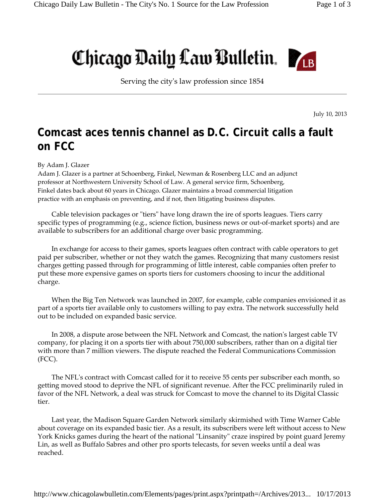## Chicago Daily Law Bulletin.



Serving the cityʹs law profession since 1854

July 10, 2013

## **Comcast aces tennis channel as D.C. Circuit calls a fault on FCC**

## By Adam J. Glazer

Adam J. Glazer is a partner at Schoenberg, Finkel, Newman & Rosenberg LLC and an adjunct professor at Northwestern University School of Law. A general service firm, Schoenberg, Finkel dates back about 60 years in Chicago. Glazer maintains a broad commercial litigation practice with an emphasis on preventing, and if not, then litigating business disputes.

Cable television packages or "tiers" have long drawn the ire of sports leagues. Tiers carry specific types of programming (e.g., science fiction, business news or out-of-market sports) and are available to subscribers for an additional charge over basic programming.

In exchange for access to their games, sports leagues often contract with cable operators to get paid per subscriber, whether or not they watch the games. Recognizing that many customers resist charges getting passed through for programming of little interest, cable companies often prefer to put these more expensive games on sports tiers for customers choosing to incur the additional charge.

When the Big Ten Network was launched in 2007, for example, cable companies envisioned it as part of a sports tier available only to customers willing to pay extra. The network successfully held out to be included on expanded basic service.

In 2008, a dispute arose between the NFL Network and Comcast, the nation's largest cable TV company, for placing it on a sports tier with about 750,000 subscribers, rather than on a digital tier with more than 7 million viewers. The dispute reached the Federal Communications Commission (FCC).

The NFLʹs contract with Comcast called for it to receive 55 cents per subscriber each month, so getting moved stood to deprive the NFL of significant revenue. After the FCC preliminarily ruled in favor of the NFL Network, a deal was struck for Comcast to move the channel to its Digital Classic tier.

Last year, the Madison Square Garden Network similarly skirmished with Time Warner Cable about coverage on its expanded basic tier. As a result, its subscribers were left without access to New York Knicks games during the heart of the national "Linsanity" craze inspired by point guard Jeremy Lin, as well as Buffalo Sabres and other pro sports telecasts, for seven weeks until a deal was reached.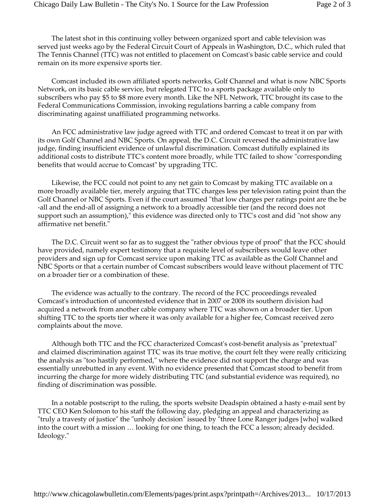The latest shot in this continuing volley between organized sport and cable television was served just weeks ago by the Federal Circuit Court of Appeals in Washington, D.C., which ruled that The Tennis Channel (TTC) was not entitled to placement on Comcast's basic cable service and could remain on its more expensive sports tier.

Comcast included its own affiliated sports networks, Golf Channel and what is now NBC Sports Network, on its basic cable service, but relegated TTC to a sports package available only to subscribers who pay \$5 to \$8 more every month. Like the NFL Network, TTC brought its case to the Federal Communications Commission, invoking regulations barring a cable company from discriminating against unaffiliated programming networks.

An FCC administrative law judge agreed with TTC and ordered Comcast to treat it on par with its own Golf Channel and NBC Sports. On appeal, the D.C. Circuit reversed the administrative law judge, finding insufficient evidence of unlawful discrimination. Comcast dutifully explained its additional costs to distribute TTC's content more broadly, while TTC failed to show "corresponding benefits that would accrue to Comcast" by upgrading TTC.

Likewise, the FCC could not point to any net gain to Comcast by making TTC available on a more broadly available tier, merely arguing that TTC charges less per television rating point than the Golf Channel or NBC Sports. Even if the court assumed "that low charges per ratings point are the be ‐all and the end‐all of assigning a network to a broadly accessible tier (and the record does not support such an assumption)," this evidence was directed only to TTC's cost and did "not show any affirmative net benefit."

The D.C. Circuit went so far as to suggest the "rather obvious type of proof" that the FCC should have provided, namely expert testimony that a requisite level of subscribers would leave other providers and sign up for Comcast service upon making TTC as available as the Golf Channel and NBC Sports or that a certain number of Comcast subscribers would leave without placement of TTC on a broader tier or a combination of these.

The evidence was actually to the contrary. The record of the FCC proceedings revealed Comcast's introduction of uncontested evidence that in 2007 or 2008 its southern division had acquired a network from another cable company where TTC was shown on a broader tier. Upon shifting TTC to the sports tier where it was only available for a higher fee, Comcast received zero complaints about the move.

Although both TTC and the FCC characterized Comcast's cost-benefit analysis as "pretextual" and claimed discrimination against TTC was its true motive, the court felt they were really criticizing the analysis as "too hastily performed," where the evidence did not support the charge and was essentially unrebutted in any event. With no evidence presented that Comcast stood to benefit from incurring the charge for more widely distributing TTC (and substantial evidence was required), no finding of discrimination was possible.

In a notable postscript to the ruling, the sports website Deadspin obtained a hasty e-mail sent by TTC CEO Ken Solomon to his staff the following day, pledging an appeal and characterizing as "truly a travesty of justice" the "unholy decision" issued by "three Lone Ranger judges [who] walked into the court with a mission … looking for one thing, to teach the FCC a lesson; already decided. Ideology."